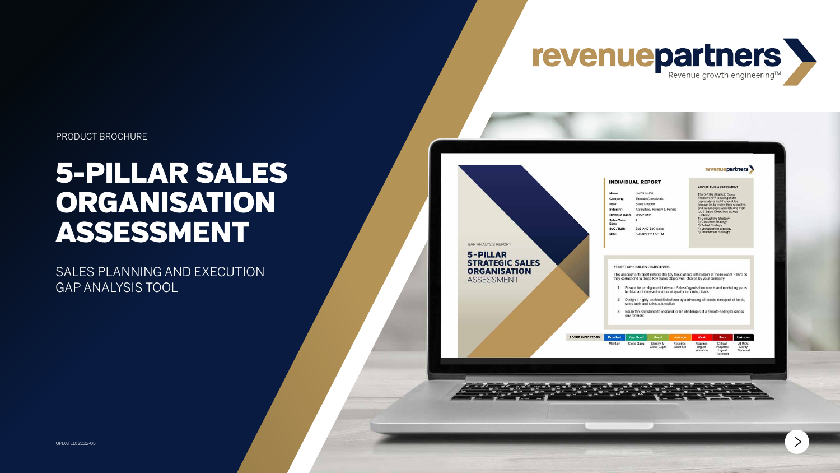PRODUCT BROCHURE

# 5-PILLAR SALES ORGANISATION ASSESSMENT

SALES PLANNING AND EXECUTION GAP ANALYSIS TOOL

UPDATED: 2022-05

# revenuepartners Revenue growth engineering™

**GAP ANALYSIS REPORT** 

#### 5-PILLAR **STRATEGIC SALES ORGANISATION** ASSESSMENT

| revenuepartners |  |
|-----------------|--|
|                 |  |

#### **INDIVIDUAL REPORT**

| Name:                              | test53 test53                  |
|------------------------------------|--------------------------------|
| Company:                           | Exousia Consultants            |
| Role:                              | Sales Director                 |
| Industry:                          | Agriculture, Forestry & Fishin |
| Revenue Band:                      | Under R1m                      |
| <b>Sales Team</b><br>Size:         |                                |
| B <sub>2</sub> C/B <sub>2</sub> B: | B2B AND B2C Sales              |
| Date:                              | 5/4/2022 3:11:52 PM            |

#### **ABOUT THIS ASSESSMENT**

- The 5-Pillar Strategic Sales Framework<sup>tM</sup> is a diagnostic<br>gap-analysis tool that enables companies to review their strengths<br>and weaknesses as related to their top 3 Sales Objectives across 5-Pillars:<br>1) Competitive Strategy<br>2) Customer Strategy 3) Talent Strategy<br>4) Management Strategy<br>5) Enablement Strategy
- 

#### YOUR TOP 3 SALES OBJECTIVES:

This assessment report reflects the key focus areas within each of the relevant Pillars as they correspond to these Key Sales Objectives, chosen by your company:

- 1. Ensure better alignment between Sales Organisation needs and marketing plans to drive an increased number of quality in-coming leads
- 2. Design a highly-enabled Salesforce by addressing all needs in respect of leads, sales tools and sales automation
- 3. Equip the Salesforce to respond to the challenges of a remote-selling business environment

**SCORE IND** 

| <b>DICATORS</b> | <b>Excellent</b> | Very Good  | Good <sup>1</sup>        | Average               | Weak                            | Poor                                                        | Unknown                         |
|-----------------|------------------|------------|--------------------------|-----------------------|---------------------------------|-------------------------------------------------------------|---------------------------------|
|                 | Maintain         | Close Gaps | Identify &<br>Close Gaps | Requires<br>Attention | Requires<br>Urgent<br>Attention | Critical:<br><b>Requires</b><br>Urgent<br>Additional County | At Risk:<br>Clarity<br>Reguired |



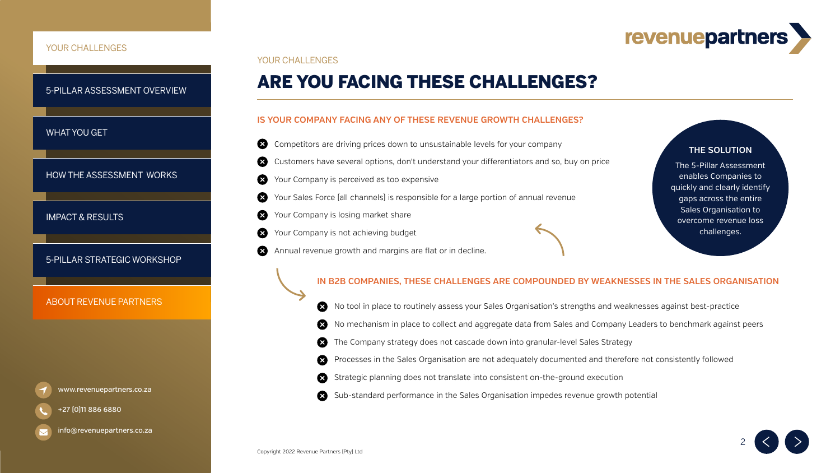# revenuepartners

- own to unsustainable levels for your company
- don't understand your differentiators and so, buy on price
- o expensive
- responsible for a large portion of annual revenue
- 
- 

# ARE YOU FACING THESE CHALLENGES?

### YOUR CHALLENGES

## **IS YOUR COMPANY FACING ANY OF THESE REVENUE GROWTH CHALLENGES?**

## **IN B2B COMPANIES, THESE CHALLENGES ARE COMPOUNDED BY WEAKNESSES IN THE SALES ORGANISATION**

- Your Company is not achieving budget  $\bullet$
- Annual revenue growth and margins are flat or in decline.  $\boldsymbol{\infty}$



No tool in place to routinely assess your Sales Organisation's strengths and weaknesses against best-practice No mechanism in place to collect and aggregate data from Sales and Company Leaders to benchmark against peers The Company strategy does not cascade down into granular-level Sales Strategy Processes in the Sales Organisation are not adequately documented and therefore not consistently followed Strategic planning does not translate into consistent on-the-ground execution [www.revenuepartners.co.za](https://www.revenuepartners.co.za/) **EXECUS CONSTRES INTERNATION** Sub-standard performance in the Sales Organisation impedes revenue growth potential









| X Competitors are driving prices down   |
|-----------------------------------------|
| X Customers have several options, don   |
| X Your Company is perceived as too ex   |
| Your Sales Force [all channels] is resp |
| X Your Company is losing market share   |



[info@revenuepartners.co.za](mailto:info@revenuepartners.co.za)

[IMPACT & RESULTS](#page-8-0)

[HOW THE ASSESSMENT WORKS](#page-4-0)

## [WHAT YOU GET](#page-3-0)

## <span id="page-1-0"></span>YOUR CHALLENGES

[5-PILLAR ASSESSMENT OVERVIEW](#page-2-0)

# **THE SOLUTION**

The 5-Pillar Assessment enables Companies to quickly and clearly identify gaps across the entire Sales Organisation to overcome revenue loss challenges.

# [ABOUT REVENUE PARTNERS](#page-10-0)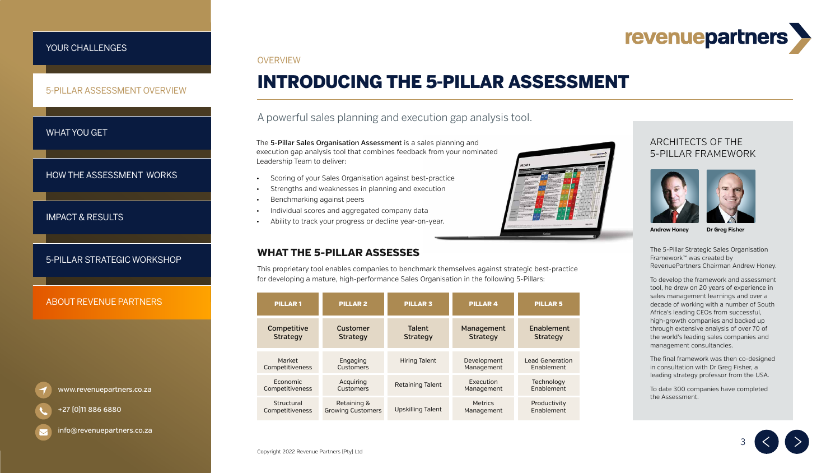# revenuepartners



# INTRODUCING THE 5-PILLAR ASSESSMENT

# A powerful sales planning and execution gap analysis tool.

The 5-Pillar Strategic Sales Organisation Framework™ was created by RevenuePartners Chairman Andrew Honey.

To develop the framework and assessment tool, he drew on 20 years of experience in sales management learnings and over a decade of working with a number of South Africa's leading CEOs from successful, high-growth companies and backed up through extensive analysis of over 70 of the world's leading sales companies and management consultancies.

The 5-Pillar Sales Organisation Assessment is a sales planning and execution gap analysis tool that combines feedback from your nominated Leadership Team to deliver:

> The final framework was then co-designed in consultation with Dr Greg Fisher, a leading strategy professor from the USA.

To date 300 companies have completed the Assessment.

3





**Andrew Honey Dr Greg Fisher**

# ARCHITECTS OF THE 5-PILLAR FRAMEWORK



- Scoring of your Sales Organisation against best-practice
- Strengths and weaknesses in planning and execution
- Benchmarking against peers
- Individual scores and aggregated company data
- Ability to track your progress or decline year-on-year.

## <span id="page-2-0"></span>[YOUR CHALLENGES](#page-1-0)

[IMPACT & RESULTS](#page-8-0)

[HOW THE ASSESSMENT WORKS](#page-4-0)

5-PILLAR ASSESSMENT OVERVIEW

# [WHAT YOU GET](#page-3-0)

| <b>PILLAR1</b>  | <b>PILLAR 2</b>          | <b>PILLAR 3</b>          | <b>PILLAR4</b>  | <b>PILLAR 5</b>        |
|-----------------|--------------------------|--------------------------|-----------------|------------------------|
| Competitive     | Customer                 | <b>Talent</b>            | Management      | Enablement             |
| <b>Strategy</b> | <b>Strategy</b>          | <b>Strategy</b>          | <b>Strategy</b> | <b>Strategy</b>        |
| Market          | Engaging                 | <b>Hiring Talent</b>     | Development     | <b>Lead Generation</b> |
| Competitiveness | <b>Customers</b>         |                          | Management      | Enablement             |
| Economic        | Acquiring                | <b>Retaining Talent</b>  | Execution       | Technology             |
| Competitiveness | <b>Customers</b>         |                          | Management      | Enablement             |
| Structural      | Retaining &              | <b>Upskilling Talent</b> | <b>Metrics</b>  | Productivity           |
| Competitiveness | <b>Growing Customers</b> |                          | Management      | Enablement             |

This proprietary tool enables companies to benchmark themselves against strategic best-practice for developing a mature, high-performance Sales Organisation in the following 5-Pillars:

# **WHAT THE 5-PILLAR ASSESSES**

[www.revenuepartners.co.za](https://www.revenuepartners.co.za/)

+27 (0)11 886 6880

[info@revenuepartners.co.za](mailto:info@revenuepartners.co.za)

### **OVERVIEW**

# [ABOUT REVENUE PARTNERS](#page-10-0)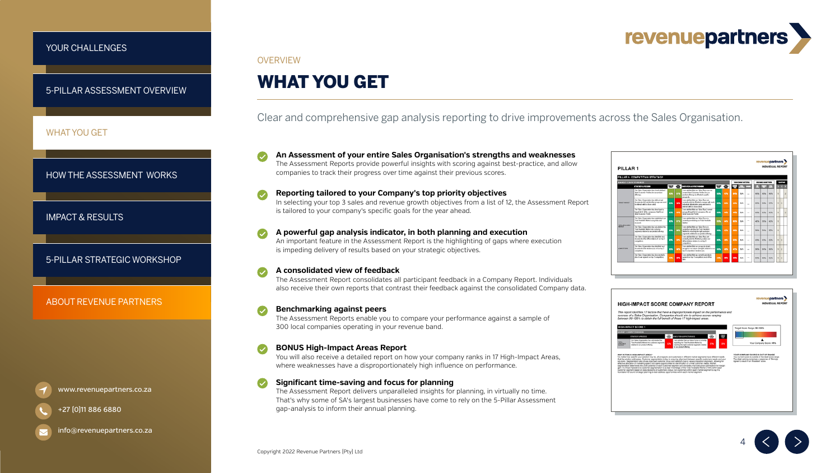# revenuepartners

4





# WHAT YOU GET

# Clear and comprehensive gap analysis reporting to drive improvements across the Sales Organisation.



### **HIGH-IMPACT SCORE COMPANY REPORT**

#### revenuepartners NDIVIDUAL REPOR

This report identifies 17 factors that have a disproportionate impact on the performance and<br>success of a Sales Organisation. Companies should aim to achieve scores ranging<br>between 90-100% to obtain the full benefit of the





**An Assessment of your entire Sales Organisation's strengths and weaknesses** The Assessment Reports provide powerful insights with scoring against best-practice, and allow companies to track their progress over time against their previous scores.

**A consolidated view of feedback** The Assessment Report consolidates all participant feedback in a Company Report. Individuals also receive their own reports that contrast their feedback against the consolidated Company data.

**Reporting tailored to your Company's top priority objectives** In selecting your top 3 sales and revenue growth objectives from a list of 12, the Assessment Report is tailored to your company's specific goals for the year ahead.

**A powerful gap analysis indicator, in both planning and execution** An important feature in the Assessment Report is the highlighting of gaps where execution is impeding delivery of results based on your strategic objectives.

**Benchmarking against peers**  The Assessment Reports enable you to compare your performance against a sample of 300 local companies operating in your revenue band.



**BONUS High-Impact Areas Report** You will also receive a detailed report on how your company ranks in 17 High-Impact Areas, where weaknesses have a disproportionately high influence on performance.

**Significant time-saving and focus for planning** The Assessment Report delivers unparalleled insights for planning, in virtually no time. That's why some of SA's largest businesses have come to rely on the 5-Pillar Assessment gap-analysis to inform their annual planning.

## <span id="page-3-0"></span>[YOUR CHALLENGES](#page-1-0)

[5-PILLAR ASSESSMENT OVERVIEW](#page-2-0)

[IMPACT & RESULTS](#page-8-0)

## WHAT YOU GET

[HOW THE ASSESSMENT WORKS](#page-4-0)

[www.revenuepartners.co.za](https://www.revenuepartners.co.za/)



[info@revenuepartners.co.za](mailto:info@revenuepartners.co.za)

### **OVERVIEW**

# [ABOUT REVENUE PARTNERS](#page-10-0)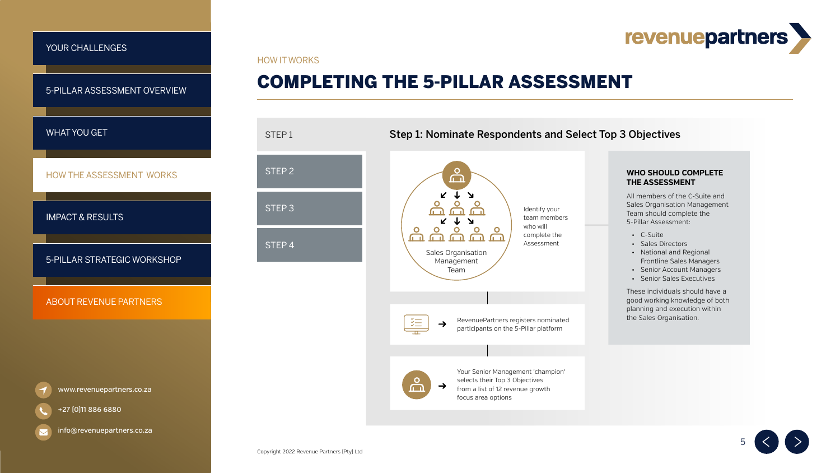# revenuepartners



HOW IT WORKS



### **WHO SHOULD COMPLETE THE ASSESSMENT**

All members of the C-Suite and Sales Organisation Management Team should complete the 5-Pillar Assessment:

- C-Suite
- Sales Directors
- National and Regional Frontline Sales Managers
- Senior Account Managers
- Senior Sales Executives

These individuals should have a good working knowledge of both planning and execution within the Sales Organisation.



| STEP1             |  |
|-------------------|--|
| STEP <sub>2</sub> |  |
| STEP <sub>3</sub> |  |
| STEP <sub>4</sub> |  |

# Step 1: Nominate Respondents and Select Top 3 Objectives

# COMPLETING THE 5-PILLAR ASSESSMENT

## <span id="page-4-0"></span>[YOUR CHALLENGES](#page-1-0)

# [WHAT YOU GET](#page-3-0)

[5-PILLAR ASSESSMENT OVERVIEW](#page-2-0)

HOW THE ASSESSMENT WORKS

[IMPACT & RESULTS](#page-8-0)

[www.revenuepartners.co.za](https://www.revenuepartners.co.za/)



+27 (0)11 886 6880

[info@revenuepartners.co.za](mailto:info@revenuepartners.co.za)

# [ABOUT REVENUE PARTNERS](#page-10-0)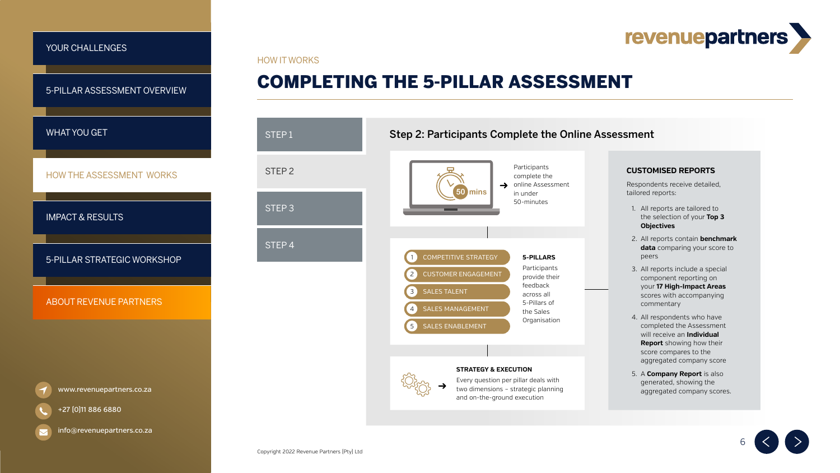# revenuepartners

# Step 2: Participants Complete the Online Assessment



# COMPLETING THE 5-PILLAR ASSESSMENT

HOW IT WORKS

#### **STRATEGY & EXECUTION**

 $\sim$ 



### **CUSTOMISED REPORTS**

Respondents receive detailed, tailored reports:

- 1. All reports are tailored to the selection of your **Top 3 Objectives**
- 2. All reports contain **benchmark data** comparing your score to peers
- 3. All reports include a special component reporting on your **17 High-Impact Areas**  scores with accompanying commentary
- 4. All respondents who have completed the Assessment will receive an **Individual Report** showing how their score compares to the aggregated company score
- 5. A **Company Report** is also generated, showing the aggregated company scores.





| STEP1             |  |
|-------------------|--|
| STEP <sub>2</sub> |  |
| STEP <sub>3</sub> |  |
| STEP <sub>4</sub> |  |
|                   |  |

## <span id="page-5-0"></span>[YOUR CHALLENGES](#page-1-0)

# [WHAT YOU GET](#page-3-0)

[5-PILLAR ASSESSMENT OVERVIEW](#page-2-0)

[HOW THE ASSESSMENT WORKS](#page-4-0)

[IMPACT & RESULTS](#page-8-0)

[www.revenuepartners.co.za](https://www.revenuepartners.co.za/)



+27 (0)11 886 6880

[info@revenuepartners.co.za](mailto:info@revenuepartners.co.za)

# [ABOUT REVENUE PARTNERS](#page-10-0)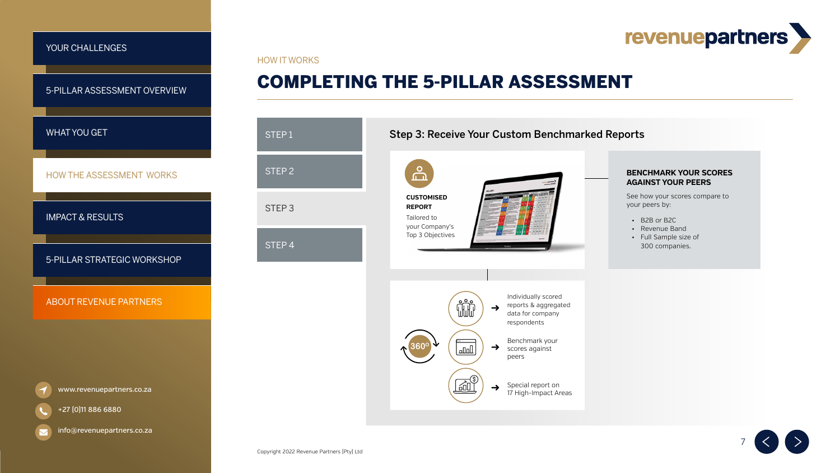# revenuepartners



HOW IT WORKS

### **BENCHMARK YOUR SCORES AGAINST YOUR PEERS**

See how your scores compare to your peers by:

- B2B or B2C
- Revenue Band
- Full Sample size of 300 companies.







# Step 3: Receive Your Custom Benchmarked Reports

# COMPLETING THE 5-PILLAR ASSESSMENT

| STEP1             |  |
|-------------------|--|
| STEP <sub>2</sub> |  |
| STEP <sub>3</sub> |  |
| STEP 4            |  |
|                   |  |
|                   |  |

## <span id="page-6-0"></span>[YOUR CHALLENGES](#page-1-0)

# [WHAT YOU GET](#page-3-0)

[5-PILLAR ASSESSMENT OVERVIEW](#page-2-0)

[HOW THE ASSESSMENT WORKS](#page-4-0)

[IMPACT & RESULTS](#page-8-0)

[www.revenuepartners.co.za](https://www.revenuepartners.co.za/)



 $\blacktriangleright$ 

[info@revenuepartners.co.za](mailto:info@revenuepartners.co.za)

# [ABOUT REVENUE PARTNERS](#page-10-0)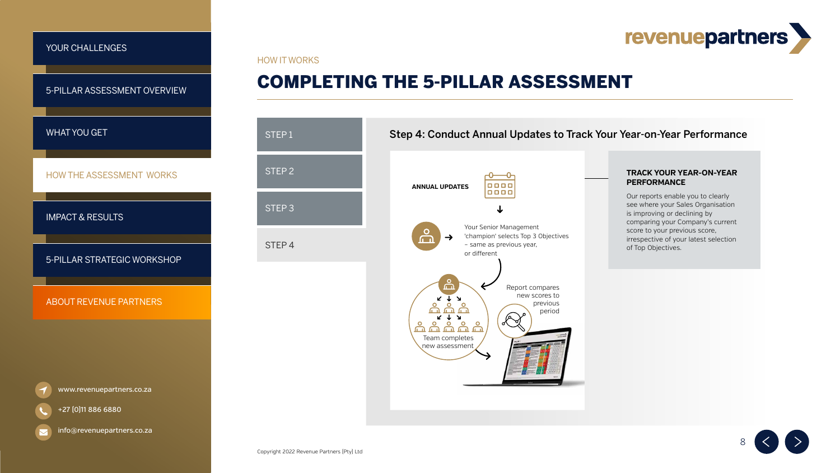# revenuepartners

# Step 4: Conduct Annual Updates to Track Your Year-on-Year Performance



### **TRACK YOUR YEAR-ON-YEAR PERFORMANCE**

Our reports enable you to clearly see where your Sales Organisation is improving or declining by comparing your Company's current score to your previous score, irrespective of your latest selection of Top Objectives.





HOW IT WORKS

| STEP1             |  |
|-------------------|--|
| STEP <sub>2</sub> |  |
| STEP <sub>3</sub> |  |
| STEP <sub>4</sub> |  |

# COMPLETING THE 5-PILLAR ASSESSMENT

## <span id="page-7-0"></span>[YOUR CHALLENGES](#page-1-0)

# [WHAT YOU GET](#page-3-0)

[5-PILLAR ASSESSMENT OVERVIEW](#page-2-0)

[HOW THE ASSESSMENT WORKS](#page-4-0)

[IMPACT & RESULTS](#page-8-0)

[www.revenuepartners.co.za](https://www.revenuepartners.co.za/)



[info@revenuepartners.co.za](mailto:info@revenuepartners.co.za)

# [ABOUT REVENUE PARTNERS](#page-10-0)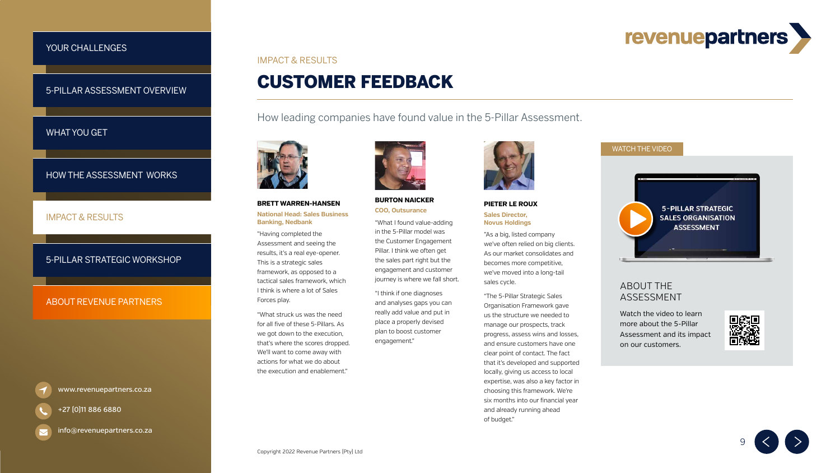# revenuepartners

9



# CUSTOMER FEEDBACK IMPACT & RESULTS



How leading companies have found value in the 5-Pillar Assessment.







# ABOUT THE ASSESSMENT

Watch the video to learn more about the 5-Pillar [Assessment and its impact](https://player.vimeo.com/video/270594972?dnt=1&app_id=122963)  on our customers.



#### **PIETER LE ROUX Sales Director, Novus Holdings**

"As a big, listed company we've often relied on big clients. As our market consolidates and becomes more competitive, we've moved into a long-tail sales cycle.

"The 5-Pillar Strategic Sales Organisation Framework gave us the structure we needed to manage our prospects, track progress, assess wins and losses, and ensure customers have one clear point of contact. The fact that it's developed and supported locally, giving us access to local expertise, was also a key factor in choosing this framework. We're six months into our financial year and already running ahead of budget."

### **BURTON NAICKER COO, Outsurance**

"What I found value-adding in the 5-Pillar model was the Customer Engagement Pillar. I think we often get the sales part right but the engagement and customer journey is where we fall short.

"I think if one diagnoses and analyses gaps you can really add value and put in place a properly devised plan to boost customer engagement."



### **BRETT WARREN-HANSEN**

#### **National Head: Sales Business Banking, Nedbank**

"Having completed the Assessment and seeing the results, it's a real eye-opener. This is a strategic sales framework, as opposed to a tactical sales framework, which I think is where a lot of Sales Forces play.

"What struck us was the need for all five of these 5-Pillars. As we got down to the execution, that's where the scores dropped. We'll want to come away with actions for what we do about the execution and enablement."



### <span id="page-8-0"></span>[YOUR CHALLENGES](#page-1-0)

## [WHAT YOU GET](#page-3-0)

[5-PILLAR ASSESSMENT OVERVIEW](#page-2-0)

## IMPACT & RESULTS

[HOW THE ASSESSMENT WORKS](#page-4-0)

[www.revenuepartners.co.za](https://www.revenuepartners.co.za/)



[info@revenuepartners.co.za](mailto:info@revenuepartners.co.za)

# [ABOUT REVENUE PARTNERS](#page-10-0)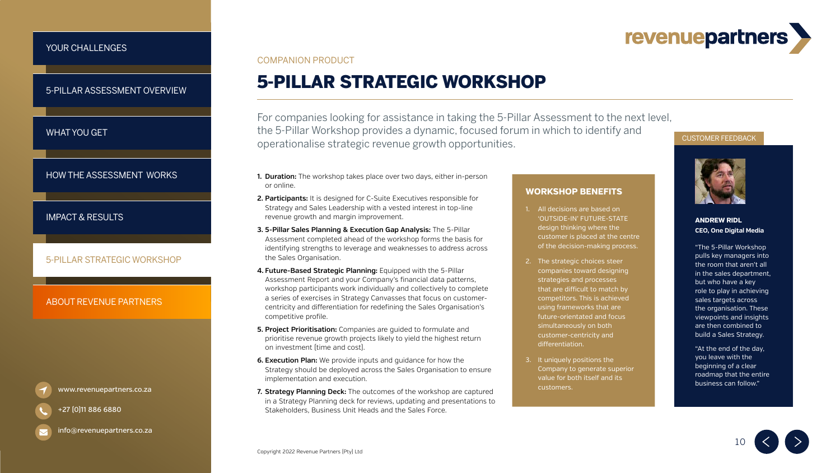# revenuepartners







# 5-PILLAR STRATEGIC WORKSHOP

### COMPANION PRODUCT

For companies looking for assistance in taking the 5-Pillar Assessment to the next level, the 5-Pillar Workshop provides a dynamic, focused forum in which to identify and operationalise strategic revenue growth opportunities.

- **1. Duration:** The workshop takes place over two days, either in-person or online.
- **2. Participants:** It is designed for C-Suite Executives responsible for Strategy and Sales Leadership with a vested interest in top-line revenue growth and margin improvement.
- **3. 5-Pillar Sales Planning & Execution Gap Analysis:** The 5-Pillar Assessment completed ahead of the workshop forms the basis for identifying strengths to leverage and weaknesses to address across the Sales Organisation.
- **4. Future-Based Strategic Planning:** Equipped with the 5-Pillar Assessment Report and your Company's financial data patterns, workshop participants work individually and collectively to complete a series of exercises in Strategy Canvasses that focus on customercentricity and differentiation for redefining the Sales Organisation's competitive profile.
- **5. Project Prioritisation:** Companies are guided to formulate and prioritise revenue growth projects likely to yield the highest return on investment (time and cost).
- **6. Execution Plan:** We provide inputs and guidance for how the Strategy should be deployed across the Sales Organisation to ensure implementation and execution.
- **7. Strategy Planning Deck:** The outcomes of the workshop are captured in a Strategy Planning deck for reviews, updating and presentations to Stakeholders, Business Unit Heads and the Sales Force.

## **WORKSHOP BENEFITS**

- 1. All decisions are based on 'OUTSIDE-IN' FUTURE-STATE design thinking where the customer is placed at the centre of the decision-making process.
- 2. The strategic choices steer companies toward designing strategies and processes that are difficult to match by competitors. This is achieved using frameworks that are future-orientated and focus simultaneously on both customer-centricity and differentiation.
- 3. It uniquely positions the Company to generate superior value for both itself and its customers.

### CUSTOMER FEEDBACK



"The 5-Pillar Workshop pulls key managers into the room that aren't all in the sales department, but who have a key role to play in achieving sales targets across the organisation. These viewpoints and insights are then combined to build a Sales Strategy.

"At the end of the day, you leave with the beginning of a clear roadmap that the entire business can follow."

### **ANDREW RIDL CEO, One Digital Media**

### <span id="page-9-0"></span>[YOUR CHALLENGES](#page-1-0)

## [WHAT YOU GET](#page-3-0)

[HOW THE ASSESSMENT WORKS](#page-4-0)

[IMPACT & RESULTS](#page-8-0)

[5-PILLAR ASSESSMENT OVERVIEW](#page-2-0)

[www.revenuepartners.co.za](https://www.revenuepartners.co.za/)

+27 (0)11 886 6880

[info@revenuepartners.co.za](mailto:info@revenuepartners.co.za)

## 5-PILLAR STRATEGIC WORKSHOP

# [ABOUT REVENUE PARTNERS](#page-10-0)